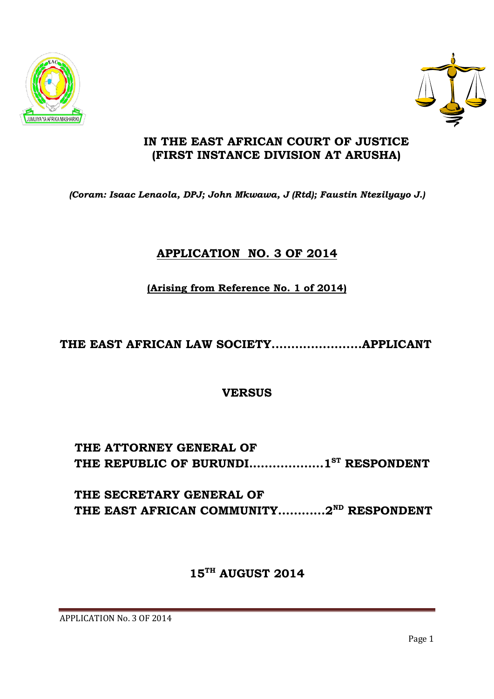APPLICATION No. 3 OF 2014

# **15 TH AUGUST 2014**

**THE SECRETARY GENERAL OF THE EAST AFRICAN COMMUNITY............2ND RESPONDENT**

**THE REPUBLIC OF BURUNDI.…...............1 ST RESPONDENT**

**THE ATTORNEY GENERAL OF** 

**VERSUS**

**THE EAST AFRICAN LAW SOCIETY.......................APPLICANT**

**(Arising from Reference No. 1 of 2014)**

# **APPLICATION NO. 3 OF 2014**

*(Coram: Isaac Lenaola, DPJ; John Mkwawa, J (Rtd); Faustin Ntezilyayo J.)*

**(FIRST INSTANCE DIVISION AT ARUSHA)**





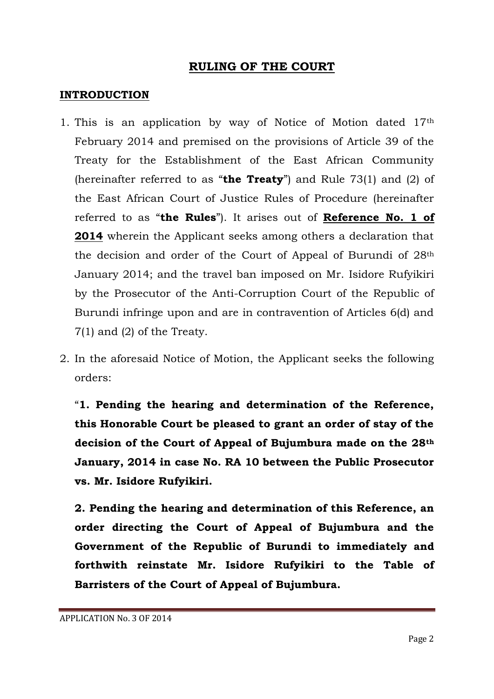### **RULING OF THE COURT**

#### **INTRODUCTION**

- 1. This is an application by way of Notice of Motion dated 17th February 2014 and premised on the provisions of Article 39 of the Treaty for the Establishment of the East African Community (hereinafter referred to as "**the Treaty**") and Rule 73(1) and (2) of the East African Court of Justice Rules of Procedure (hereinafter referred to as "**the Rules**"). It arises out of **Reference No. 1 of 2014** wherein the Applicant seeks among others a declaration that the decision and order of the Court of Appeal of Burundi of 28th January 2014; and the travel ban imposed on Mr. Isidore Rufyikiri by the Prosecutor of the Anti-Corruption Court of the Republic of Burundi infringe upon and are in contravention of Articles 6(d) and 7(1) and (2) of the Treaty.
- 2. In the aforesaid Notice of Motion, the Applicant seeks the following orders:

"**1. Pending the hearing and determination of the Reference, this Honorable Court be pleased to grant an order of stay of the decision of the Court of Appeal of Bujumbura made on the 28th January, 2014 in case No. RA 10 between the Public Prosecutor vs. Mr. Isidore Rufyikiri.**

**2. Pending the hearing and determination of this Reference, an order directing the Court of Appeal of Bujumbura and the Government of the Republic of Burundi to immediately and forthwith reinstate Mr. Isidore Rufyikiri to the Table of Barristers of the Court of Appeal of Bujumbura.**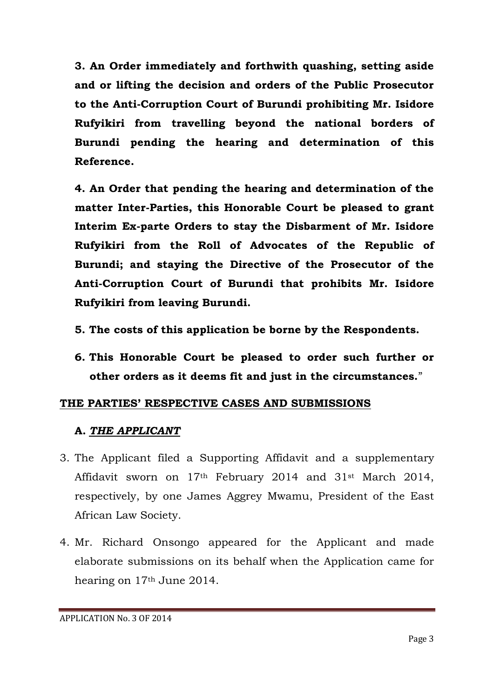**3. An Order immediately and forthwith quashing, setting aside and or lifting the decision and orders of the Public Prosecutor to the Anti-Corruption Court of Burundi prohibiting Mr. Isidore Rufyikiri from travelling beyond the national borders of Burundi pending the hearing and determination of this Reference.**

**4. An Order that pending the hearing and determination of the matter Inter-Parties, this Honorable Court be pleased to grant Interim Ex-parte Orders to stay the Disbarment of Mr. Isidore Rufyikiri from the Roll of Advocates of the Republic of Burundi; and staying the Directive of the Prosecutor of the Anti-Corruption Court of Burundi that prohibits Mr. Isidore Rufyikiri from leaving Burundi.**

- **5. The costs of this application be borne by the Respondents.**
- **6. This Honorable Court be pleased to order such further or other orders as it deems fit and just in the circumstances.**"

### **THE PARTIES' RESPECTIVE CASES AND SUBMISSIONS**

#### **A.** *THE APPLICANT*

- 3. The Applicant filed a Supporting Affidavit and a supplementary Affidavit sworn on 17th February 2014 and 31st March 2014, respectively, by one James Aggrey Mwamu, President of the East African Law Society.
- 4. Mr. Richard Onsongo appeared for the Applicant and made elaborate submissions on its behalf when the Application came for hearing on 17th June 2014.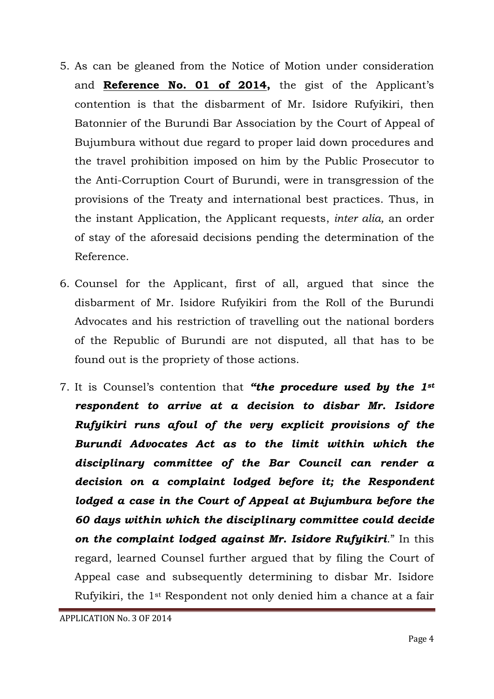- 5. As can be gleaned from the Notice of Motion under consideration and **Reference No. 01 of 2014,** the gist of the Applicant's contention is that the disbarment of Mr. Isidore Rufyikiri, then Batonnier of the Burundi Bar Association by the Court of Appeal of Bujumbura without due regard to proper laid down procedures and the travel prohibition imposed on him by the Public Prosecutor to the Anti-Corruption Court of Burundi, were in transgression of the provisions of the Treaty and international best practices. Thus, in the instant Application, the Applicant requests, *inter alia,* an order of stay of the aforesaid decisions pending the determination of the Reference.
- 6. Counsel for the Applicant, first of all, argued that since the disbarment of Mr. Isidore Rufyikiri from the Roll of the Burundi Advocates and his restriction of travelling out the national borders of the Republic of Burundi are not disputed, all that has to be found out is the propriety of those actions.
- 7. It is Counsel's contention that *"the procedure used by the 1st respondent to arrive at a decision to disbar Mr. Isidore Rufyikiri runs afoul of the very explicit provisions of the Burundi Advocates Act as to the limit within which the disciplinary committee of the Bar Council can render a decision on a complaint lodged before it; the Respondent lodged a case in the Court of Appeal at Bujumbura before the 60 days within which the disciplinary committee could decide on the complaint lodged against Mr. Isidore Rufyikiri*." In this regard, learned Counsel further argued that by filing the Court of Appeal case and subsequently determining to disbar Mr. Isidore Rufyikiri, the 1st Respondent not only denied him a chance at a fair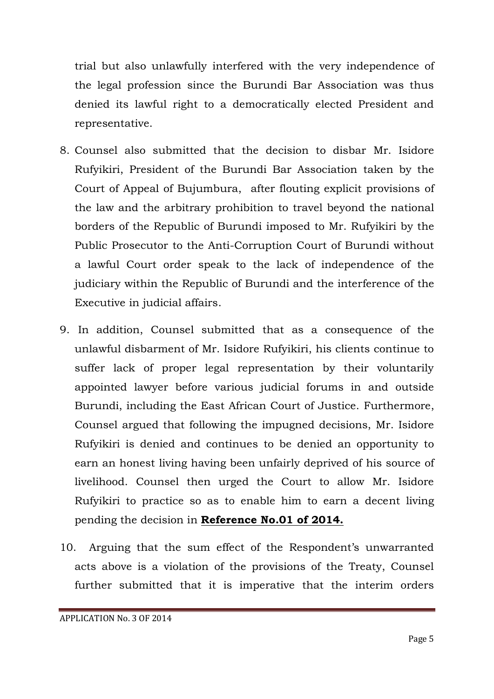trial but also unlawfully interfered with the very independence of the legal profession since the Burundi Bar Association was thus denied its lawful right to a democratically elected President and representative.

- 8. Counsel also submitted that the decision to disbar Mr. Isidore Rufyikiri, President of the Burundi Bar Association taken by the Court of Appeal of Bujumbura, after flouting explicit provisions of the law and the arbitrary prohibition to travel beyond the national borders of the Republic of Burundi imposed to Mr. Rufyikiri by the Public Prosecutor to the Anti-Corruption Court of Burundi without a lawful Court order speak to the lack of independence of the judiciary within the Republic of Burundi and the interference of the Executive in judicial affairs.
- 9. In addition, Counsel submitted that as a consequence of the unlawful disbarment of Mr. Isidore Rufyikiri, his clients continue to suffer lack of proper legal representation by their voluntarily appointed lawyer before various judicial forums in and outside Burundi, including the East African Court of Justice. Furthermore, Counsel argued that following the impugned decisions, Mr. Isidore Rufyikiri is denied and continues to be denied an opportunity to earn an honest living having been unfairly deprived of his source of livelihood. Counsel then urged the Court to allow Mr. Isidore Rufyikiri to practice so as to enable him to earn a decent living pending the decision in **Reference No.01 of 2014.**
- 10. Arguing that the sum effect of the Respondent's unwarranted acts above is a violation of the provisions of the Treaty, Counsel further submitted that it is imperative that the interim orders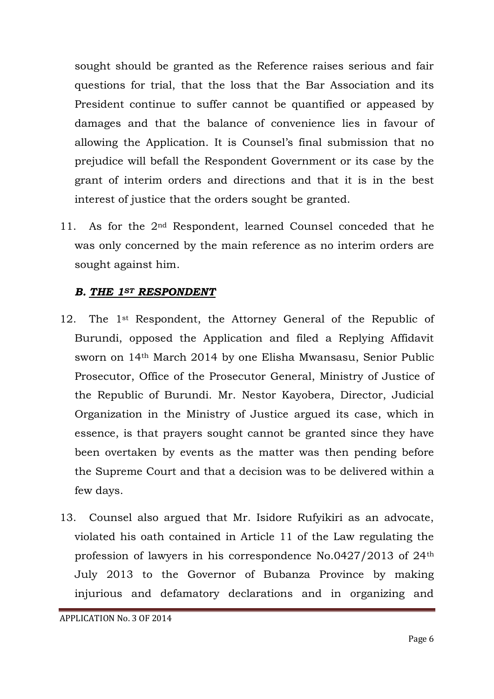sought should be granted as the Reference raises serious and fair questions for trial, that the loss that the Bar Association and its President continue to suffer cannot be quantified or appeased by damages and that the balance of convenience lies in favour of allowing the Application. It is Counsel's final submission that no prejudice will befall the Respondent Government or its case by the grant of interim orders and directions and that it is in the best interest of justice that the orders sought be granted.

11. As for the 2<sup>nd</sup> Respondent, learned Counsel conceded that he was only concerned by the main reference as no interim orders are sought against him.

### *B. THE 1ST RESPONDENT*

- 12. The 1<sup>st</sup> Respondent, the Attorney General of the Republic of Burundi, opposed the Application and filed a Replying Affidavit sworn on 14th March 2014 by one Elisha Mwansasu, Senior Public Prosecutor, Office of the Prosecutor General, Ministry of Justice of the Republic of Burundi. Mr. Nestor Kayobera, Director, Judicial Organization in the Ministry of Justice argued its case, which in essence, is that prayers sought cannot be granted since they have been overtaken by events as the matter was then pending before the Supreme Court and that a decision was to be delivered within a few days.
- 13. Counsel also argued that Mr. Isidore Rufyikiri as an advocate, violated his oath contained in Article 11 of the Law regulating the profession of lawyers in his correspondence No.0427/2013 of 24th July 2013 to the Governor of Bubanza Province by making injurious and defamatory declarations and in organizing and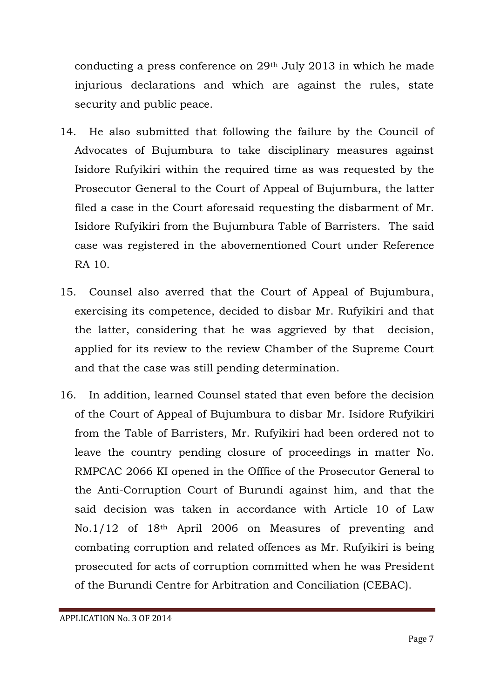conducting a press conference on 29th July 2013 in which he made injurious declarations and which are against the rules, state security and public peace.

- 14. He also submitted that following the failure by the Council of Advocates of Bujumbura to take disciplinary measures against Isidore Rufyikiri within the required time as was requested by the Prosecutor General to the Court of Appeal of Bujumbura, the latter filed a case in the Court aforesaid requesting the disbarment of Mr. Isidore Rufyikiri from the Bujumbura Table of Barristers. The said case was registered in the abovementioned Court under Reference RA 10.
- 15. Counsel also averred that the Court of Appeal of Bujumbura, exercising its competence, decided to disbar Mr. Rufyikiri and that the latter, considering that he was aggrieved by that decision, applied for its review to the review Chamber of the Supreme Court and that the case was still pending determination.
- 16. In addition, learned Counsel stated that even before the decision of the Court of Appeal of Bujumbura to disbar Mr. Isidore Rufyikiri from the Table of Barristers, Mr. Rufyikiri had been ordered not to leave the country pending closure of proceedings in matter No. RMPCAC 2066 KI opened in the Offfice of the Prosecutor General to the Anti-Corruption Court of Burundi against him, and that the said decision was taken in accordance with Article 10 of Law No.1/12 of 18th April 2006 on Measures of preventing and combating corruption and related offences as Mr. Rufyikiri is being prosecuted for acts of corruption committed when he was President of the Burundi Centre for Arbitration and Conciliation (CEBAC).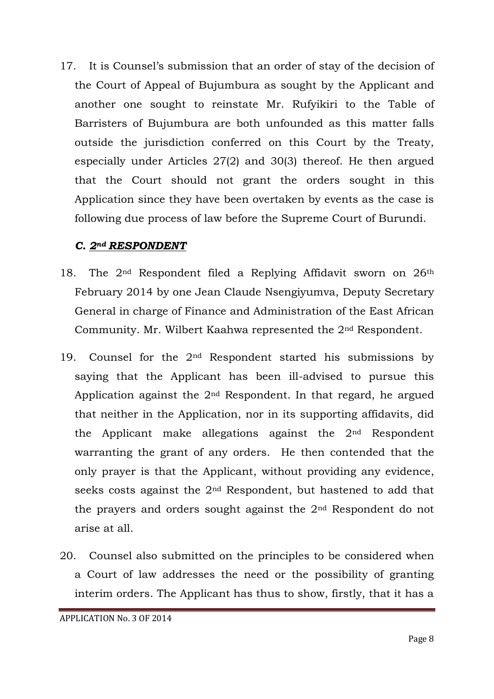17. It is Counsel's submission that an order of stay of the decision of the Court of Appeal of Bujumbura as sought by the Applicant and another one sought to reinstate Mr. Rufyikiri to the Table of Barristers of Bujumbura are both unfounded as this matter falls outside the jurisdiction conferred on this Court by the Treaty, especially under Articles 27(2) and 30(3) thereof. He then argued that the Court should not grant the orders sought in this Application since they have been overtaken by events as the case is following due process of law before the Supreme Court of Burundi.

### *C. 2nd RESPONDENT*

- 18. The 2<sup>nd</sup> Respondent filed a Replying Affidavit sworn on 26<sup>th</sup> February 2014 by one Jean Claude Nsengiyumva, Deputy Secretary General in charge of Finance and Administration of the East African Community. Mr. Wilbert Kaahwa represented the 2nd Respondent.
- 19. Counsel for the  $2<sup>nd</sup>$  Respondent started his submissions by saying that the Applicant has been ill-advised to pursue this Application against the 2nd Respondent. In that regard, he argued that neither in the Application, nor in its supporting affidavits, did the Applicant make allegations against the 2nd Respondent warranting the grant of any orders. He then contended that the only prayer is that the Applicant, without providing any evidence, seeks costs against the 2nd Respondent, but hastened to add that the prayers and orders sought against the 2nd Respondent do not arise at all.
- 20. Counsel also submitted on the principles to be considered when a Court of law addresses the need or the possibility of granting interim orders. The Applicant has thus to show, firstly, that it has a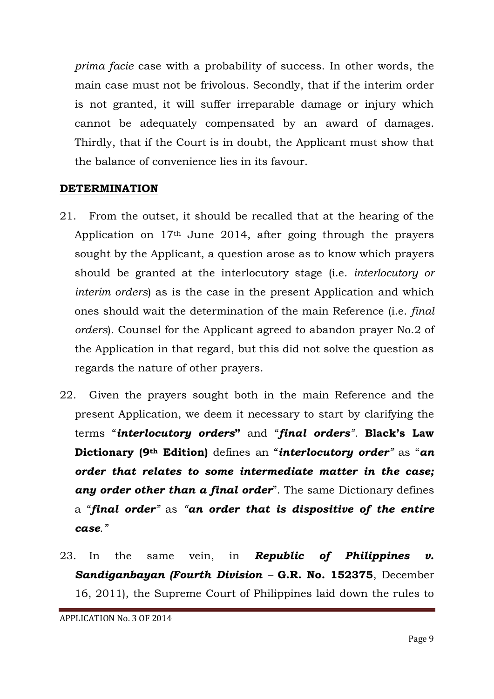*prima facie* case with a probability of success. In other words, the main case must not be frivolous. Secondly, that if the interim order is not granted, it will suffer irreparable damage or injury which cannot be adequately compensated by an award of damages. Thirdly, that if the Court is in doubt, the Applicant must show that the balance of convenience lies in its favour.

#### **DETERMINATION**

- 21. From the outset, it should be recalled that at the hearing of the Application on 17th June 2014, after going through the prayers sought by the Applicant, a question arose as to know which prayers should be granted at the interlocutory stage (i.e. *interlocutory or interim orders*) as is the case in the present Application and which ones should wait the determination of the main Reference (i.e. *final orders*). Counsel for the Applicant agreed to abandon prayer No.2 of the Application in that regard, but this did not solve the question as regards the nature of other prayers.
- 22. Given the prayers sought both in the main Reference and the present Application, we deem it necessary to start by clarifying the terms "*interlocutory orders***"** and "*final orders".* **Black's Law Dictionary (9th Edition)** defines an "*interlocutory order"* as "*an order that relates to some intermediate matter in the case; any order other than a final order*". The same Dictionary defines a "*final order"* as *"an order that is dispositive of the entire case."*
- 23. In the same vein, in *Republic of Philippines v. Sandiganbayan (Fourth Division –* **G.R. No. 152375**, December 16, 2011), the Supreme Court of Philippines laid down the rules to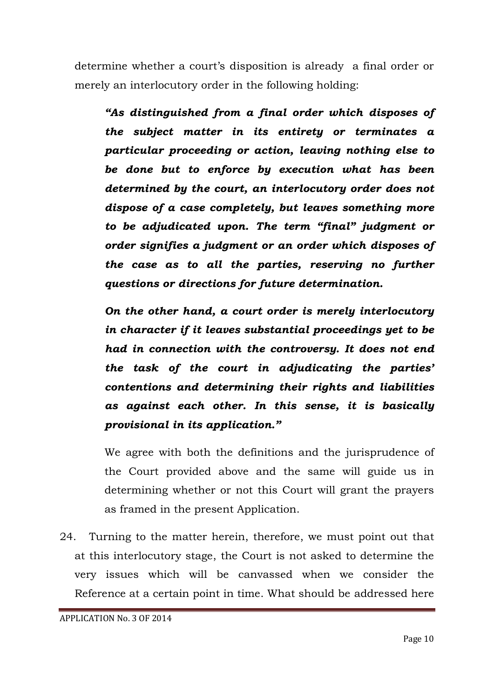determine whether a court's disposition is already a final order or merely an interlocutory order in the following holding:

*"As distinguished from a final order which disposes of the subject matter in its entirety or terminates a particular proceeding or action, leaving nothing else to be done but to enforce by execution what has been determined by the court, an interlocutory order does not dispose of a case completely, but leaves something more to be adjudicated upon. The term "final" judgment or order signifies a judgment or an order which disposes of the case as to all the parties, reserving no further questions or directions for future determination.*

*On the other hand, a court order is merely interlocutory in character if it leaves substantial proceedings yet to be had in connection with the controversy. It does not end the task of the court in adjudicating the parties' contentions and determining their rights and liabilities as against each other. In this sense, it is basically provisional in its application."*

We agree with both the definitions and the jurisprudence of the Court provided above and the same will guide us in determining whether or not this Court will grant the prayers as framed in the present Application.

24. Turning to the matter herein, therefore, we must point out that at this interlocutory stage, the Court is not asked to determine the very issues which will be canvassed when we consider the Reference at a certain point in time. What should be addressed here

APPLICATION No. 3 OF 2014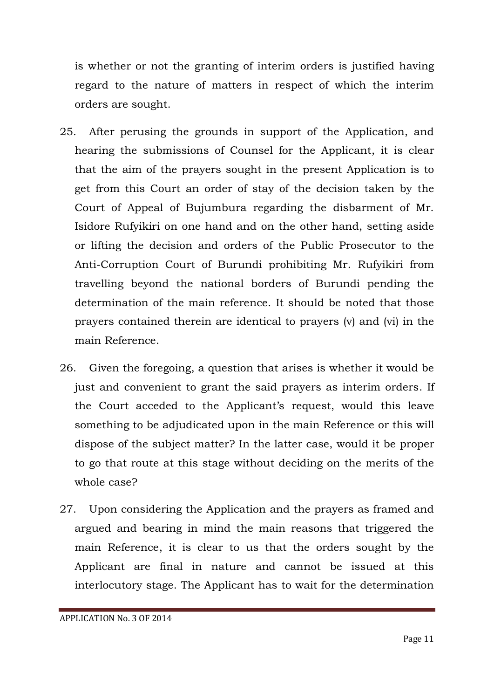is whether or not the granting of interim orders is justified having regard to the nature of matters in respect of which the interim orders are sought.

- 25. After perusing the grounds in support of the Application, and hearing the submissions of Counsel for the Applicant, it is clear that the aim of the prayers sought in the present Application is to get from this Court an order of stay of the decision taken by the Court of Appeal of Bujumbura regarding the disbarment of Mr. Isidore Rufyikiri on one hand and on the other hand, setting aside or lifting the decision and orders of the Public Prosecutor to the Anti-Corruption Court of Burundi prohibiting Mr. Rufyikiri from travelling beyond the national borders of Burundi pending the determination of the main reference. It should be noted that those prayers contained therein are identical to prayers (v) and (vi) in the main Reference.
- 26. Given the foregoing, a question that arises is whether it would be just and convenient to grant the said prayers as interim orders. If the Court acceded to the Applicant's request, would this leave something to be adjudicated upon in the main Reference or this will dispose of the subject matter? In the latter case, would it be proper to go that route at this stage without deciding on the merits of the whole case?
- 27. Upon considering the Application and the prayers as framed and argued and bearing in mind the main reasons that triggered the main Reference, it is clear to us that the orders sought by the Applicant are final in nature and cannot be issued at this interlocutory stage. The Applicant has to wait for the determination